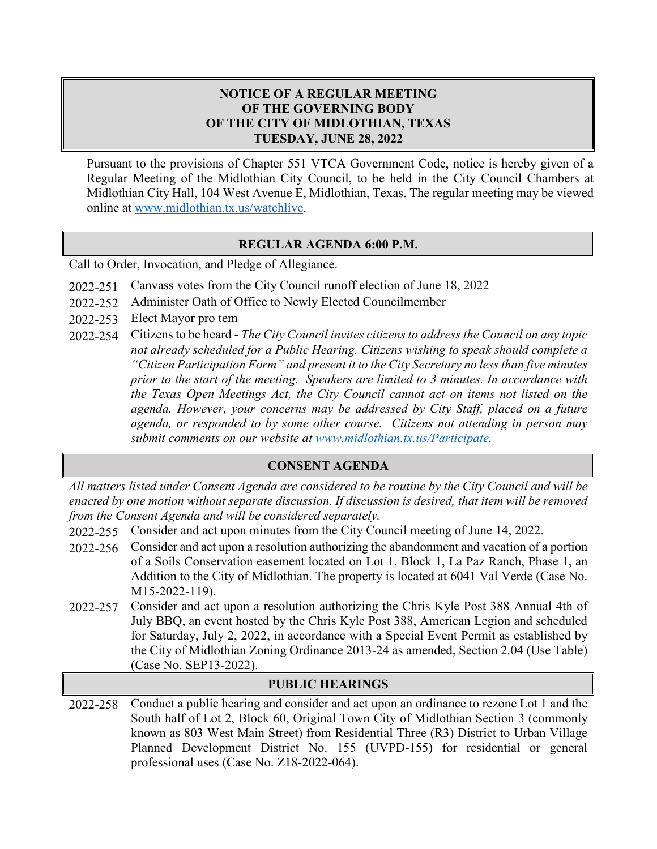## **NOTICE OF A REGULAR MEETING OF THE GOVERNING BODY OF THE CITY OF MIDLOTHIAN, TEXAS TUESDAY, JUNE 28, 2022**

Pursuant to the provisions of Chapter 551 VTCA Government Code, notice is hereby given of a Regular Meeting of the Midlothian City Council, to be held in the City Council Chambers at Midlothian City Hall, 104 West Avenue E, Midlothian, Texas. The regular meeting may be viewed online at [www.midlothian.tx.us/watchlive.](http://www.midlothian.tx.us/watchlive)

### **REGULAR AGENDA 6:00 P.M.**

Call to Order, Invocation, and Pledge of Allegiance.

- 2022-251 Canvass votes from the City Council runoff election of June 18, 2022
- 2022-252 Administer Oath of Office to Newly Elected Councilmember
- 2022-253 Elect Mayor pro tem
- 2022-254 Citizens to be heard *The City Council invites citizens to address the Council on any topic not already scheduled for a Public Hearing. Citizens wishing to speak should complete a "Citizen Participation Form" and present it to the City Secretary no less than five minutes prior to the start of the meeting. Speakers are limited to 3 minutes. In accordance with the Texas Open Meetings Act, the City Council cannot act on items not listed on the agenda. However, your concerns may be addressed by City Staff, placed on a future agenda, or responded to by some other course. Citizens not attending in person may submit comments on our website at [www.midlothian.tx.us/Participate.](http://www.midlothian.tx.us/Participate)*

## **CONSENT AGENDA**

*All matters listed under Consent Agenda are considered to be routine by the City Council and will be enacted by one motion without separate discussion. If discussion is desired, that item will be removed from the Consent Agenda and will be considered separately.*

- 2022-255 Consider and act upon minutes from the City Council meeting of June 14, 2022.
- 2022-256 Consider and act upon a resolution authorizing the abandonment and vacation of a portion of a Soils Conservation easement located on Lot 1, Block 1, La Paz Ranch, Phase 1, an Addition to the City of Midlothian. The property is located at 6041 Val Verde (Case No. M15-2022-119).
- 2022-257 Consider and act upon a resolution authorizing the Chris Kyle Post 388 Annual 4th of July BBQ, an event hosted by the Chris Kyle Post 388, American Legion and scheduled for Saturday, July 2, 2022, in accordance with a Special Event Permit as established by the City of Midlothian Zoning Ordinance 2013-24 as amended, Section 2.04 (Use Table) (Case No. SEP13-2022).

#### **PUBLIC HEARINGS**

2022-258 Conduct a public hearing and consider and act upon an ordinance to rezone Lot 1 and the South half of Lot 2, Block 60, Original Town City of Midlothian Section 3 (commonly known as 803 West Main Street) from Residential Three (R3) District to Urban Village Planned Development District No. 155 (UVPD-155) for residential or general professional uses (Case No. Z18-2022-064).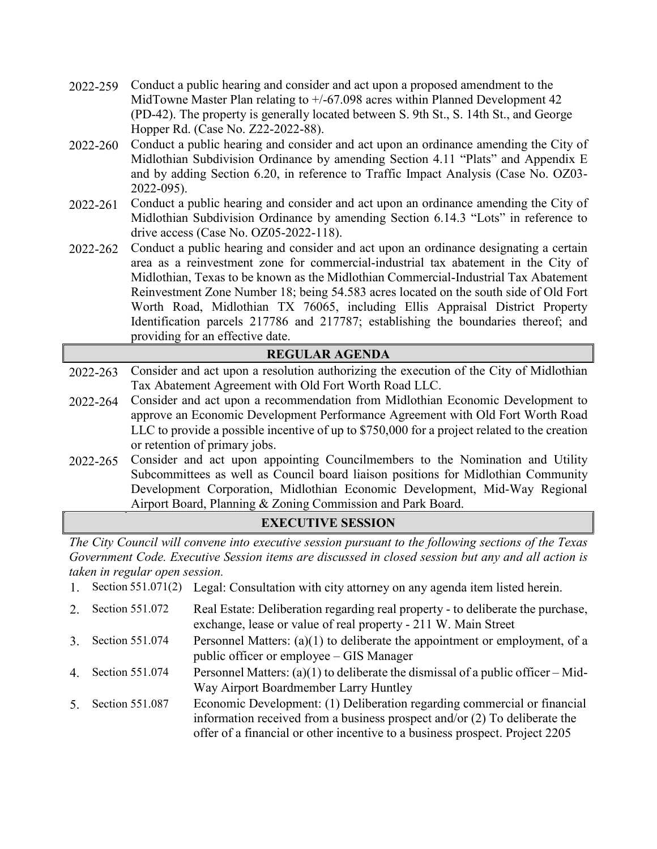- 2022-259 Conduct a public hearing and consider and act upon a proposed amendment to the MidTowne Master Plan relating to  $+/$ -67.098 acres within Planned Development 42 (PD-42). The property is generally located between S. 9th St., S. 14th St., and George Hopper Rd. (Case No. Z22-2022-88).
- 2022-260 Conduct a public hearing and consider and act upon an ordinance amending the City of Midlothian Subdivision Ordinance by amending Section 4.11 "Plats" and Appendix E and by adding Section 6.20, in reference to Traffic Impact Analysis (Case No. OZ03- 2022-095).
- 2022-261 Conduct a public hearing and consider and act upon an ordinance amending the City of Midlothian Subdivision Ordinance by amending Section 6.14.3 "Lots" in reference to drive access (Case No. OZ05-2022-118).
- 2022-262 Conduct a public hearing and consider and act upon an ordinance designating a certain area as a reinvestment zone for commercial-industrial tax abatement in the City of Midlothian, Texas to be known as the Midlothian Commercial-Industrial Tax Abatement Reinvestment Zone Number 18; being 54.583 acres located on the south side of Old Fort Worth Road, Midlothian TX 76065, including Ellis Appraisal District Property Identification parcels 217786 and 217787; establishing the boundaries thereof; and providing for an effective date.

## **REGULAR AGENDA**  2022-263 Consider and act upon a resolution authorizing the execution of the City of Midlothian Tax Abatement Agreement with Old Fort Worth Road LLC. 2022-264 Consider and act upon a recommendation from Midlothian Economic Development to approve an Economic Development Performance Agreement with Old Fort Worth Road LLC to provide a possible incentive of up to \$750,000 for a project related to the creation or retention of primary jobs.

2022-265 Consider and act upon appointing Councilmembers to the Nomination and Utility Subcommittees as well as Council board liaison positions for Midlothian Community Development Corporation, Midlothian Economic Development, Mid-Way Regional Airport Board, Planning & Zoning Commission and Park Board.

# **EXECUTIVE SESSION**

*The City Council will convene into executive session pursuant to the following sections of the Texas Government Code. Executive Session items are discussed in closed session but any and all action is taken in regular open session.*

1. Section 551.071(2) Legal: Consultation with city attorney on any agenda item listed herein. 2. Section 551.072 Real Estate: Deliberation regarding real property - to deliberate the purchase,

| $\angle$ . Section JJ1.072 | Real Estate: Defiberation regarding real property - to defiberate the purchase,<br>exchange, lease or value of real property - 211 W. Main Street                                                                                        |
|----------------------------|------------------------------------------------------------------------------------------------------------------------------------------------------------------------------------------------------------------------------------------|
|                            |                                                                                                                                                                                                                                          |
| 3. Section 551.074         | Personnel Matters: $(a)(1)$ to deliberate the appointment or employment, of a<br>public officer or employee – GIS Manager                                                                                                                |
| 4. Section 551.074         | Personnel Matters: (a)(1) to deliberate the dismissal of a public officer – Mid-<br>Way Airport Boardmember Larry Huntley                                                                                                                |
| 5. Section 551.087         | Economic Development: (1) Deliberation regarding commercial or financial<br>information received from a business prospect and/or $(2)$ To deliberate the<br>offer of a financial or other incentive to a business prospect. Project 2205 |